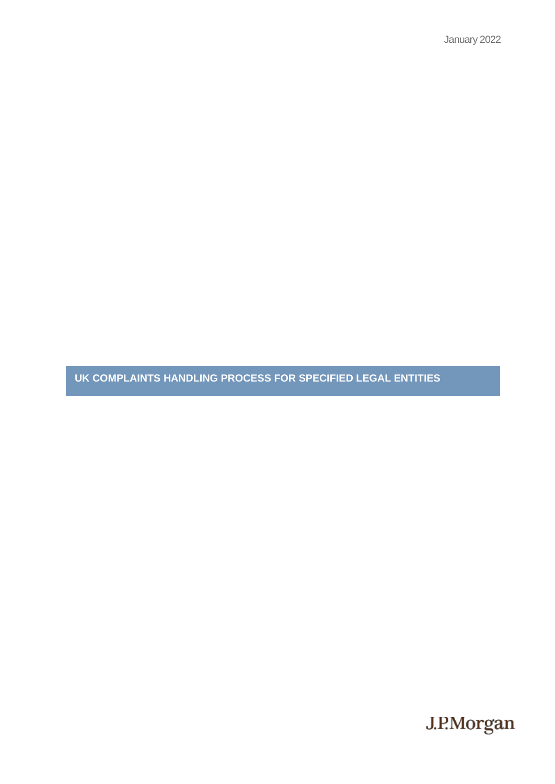January 2022

**UK COMPLAINTS HANDLING PROCESS FOR SPECIFIED LEGAL ENTITIES**

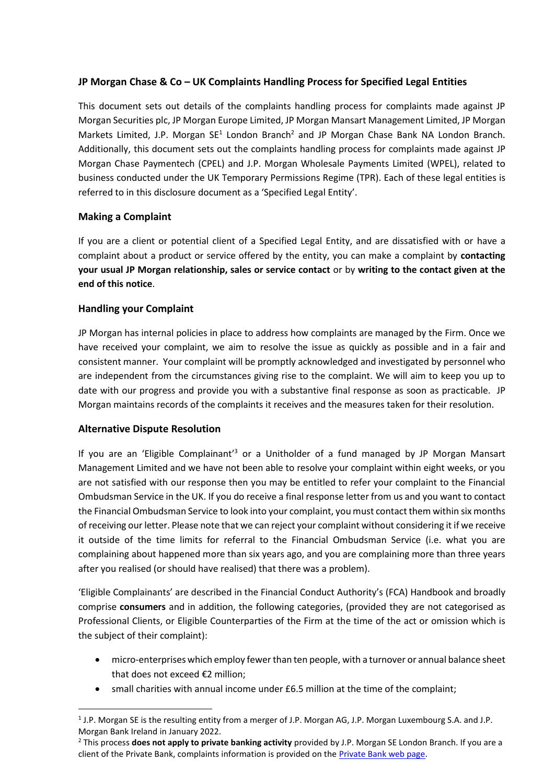# **JP Morgan Chase & Co – UK Complaints Handling Process for Specified Legal Entities**

This document sets out details of the complaints handling process for complaints made against JP Morgan Securities plc, JP Morgan Europe Limited, JP Morgan Mansart Management Limited, JP Morgan Markets Limited, J.P. Morgan  $SE^1$  London Branch<sup>2</sup> and JP Morgan Chase Bank NA London Branch. Additionally, this document sets out the complaints handling process for complaints made against JP Morgan Chase Paymentech (CPEL) and J.P. Morgan Wholesale Payments Limited (WPEL), related to business conducted under the UK Temporary Permissions Regime (TPR). Each of these legal entities is referred to in this disclosure document as a 'Specified Legal Entity'.

### **Making a Complaint**

If you are a client or potential client of a Specified Legal Entity, and are dissatisfied with or have a complaint about a product or service offered by the entity, you can make a complaint by **contacting your usual JP Morgan relationship, sales or service contact** or by **writing to the contact given at the end of this notice**.

## **Handling your Complaint**

JP Morgan has internal policies in place to address how complaints are managed by the Firm. Once we have received your complaint, we aim to resolve the issue as quickly as possible and in a fair and consistent manner. Your complaint will be promptly acknowledged and investigated by personnel who are independent from the circumstances giving rise to the complaint. We will aim to keep you up to date with our progress and provide you with a substantive final response as soon as practicable. JP Morgan maintains records of the complaints it receives and the measures taken for their resolution.

### **Alternative Dispute Resolution**

If you are an 'Eligible Complainant'<sup>3</sup> or a Unitholder of a fund managed by JP Morgan Mansart Management Limited and we have not been able to resolve your complaint within eight weeks, or you are not satisfied with our response then you may be entitled to refer your complaint to the Financial Ombudsman Service in the UK. If you do receive a final response letter from us and you want to contact the Financial Ombudsman Service to look into your complaint, you must contact them within six months of receiving our letter. Please note that we can reject your complaint without considering it if we receive it outside of the time limits for referral to the Financial Ombudsman Service (i.e. what you are complaining about happened more than six years ago, and you are complaining more than three years after you realised (or should have realised) that there was a problem).

'Eligible Complainants' are described in the Financial Conduct Authority's (FCA) Handbook and broadly comprise **consumers** and in addition, the following categories, (provided they are not categorised as Professional Clients, or Eligible Counterparties of the Firm at the time of the act or omission which is the subject of their complaint):

- micro-enterprises which employ fewer than ten people, with a turnover or annual balance sheet that does not exceed €2 million;
- small charities with annual income under £6.5 million at the time of the complaint;

<sup>&</sup>lt;sup>1</sup> J.P. Morgan SE is the resulting entity from a merger of J.P. Morgan AG, J.P. Morgan Luxembourg S.A. and J.P. Morgan Bank Ireland in January 2022.

<sup>2</sup> This process **does not apply to private banking activity** provided by J.P. Morgan SE London Branch. If you are a client of the Private Bank, complaints information is provided on the **Private Bank web page**.